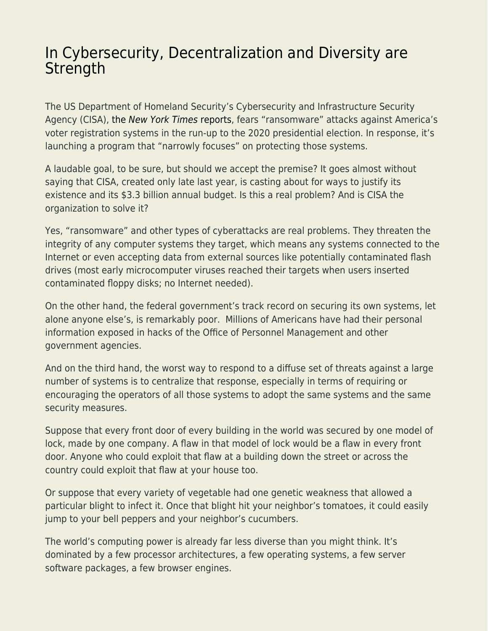## [In Cybersecurity, Decentralization and Diversity are](https://everything-voluntary.com/in-cybersecurity-decentralization-and-diversity-are-strength) **[Strength](https://everything-voluntary.com/in-cybersecurity-decentralization-and-diversity-are-strength)**

The US Department of Homeland Security's Cybersecurity and Infrastructure Security Agency (CISA), [the](https://www.nytimes.com/reuters/2019/08/27/us/politics/27reuters-usa-cyber-election-exclusive.html) [New York Times](https://www.nytimes.com/reuters/2019/08/27/us/politics/27reuters-usa-cyber-election-exclusive.html) [reports,](https://www.nytimes.com/reuters/2019/08/27/us/politics/27reuters-usa-cyber-election-exclusive.html) fears "ransomware" attacks against America's voter registration systems in the run-up to the 2020 presidential election. In response, it's launching a program that "narrowly focuses" on protecting those systems.

A laudable goal, to be sure, but should we accept the premise? It goes almost without saying that CISA, created only late last year, is casting about for ways to justify its existence and its \$3.3 billion annual budget. Is this a real problem? And is CISA the organization to solve it?

Yes, "ransomware" and other types of cyberattacks are real problems. They threaten the integrity of any computer systems they target, which means any systems connected to the Internet or even accepting data from external sources like potentially contaminated flash drives (most early microcomputer viruses reached their targets when users inserted contaminated floppy disks; no Internet needed).

On the other hand, the federal government's track record on securing its own systems, let alone anyone else's, is remarkably poor. Millions of Americans have had their personal information exposed in hacks of the Office of Personnel Management and other government agencies.

And on the third hand, the worst way to respond to a diffuse set of threats against a large number of systems is to centralize that response, especially in terms of requiring or encouraging the operators of all those systems to adopt the same systems and the same security measures.

Suppose that every front door of every building in the world was secured by one model of lock, made by one company. A flaw in that model of lock would be a flaw in every front door. Anyone who could exploit that flaw at a building down the street or across the country could exploit that flaw at your house too.

Or suppose that every variety of vegetable had one genetic weakness that allowed a particular blight to infect it. Once that blight hit your neighbor's tomatoes, it could easily jump to your bell peppers and your neighbor's cucumbers.

The world's computing power is already far less diverse than you might think. It's dominated by a few processor architectures, a few operating systems, a few server software packages, a few browser engines.